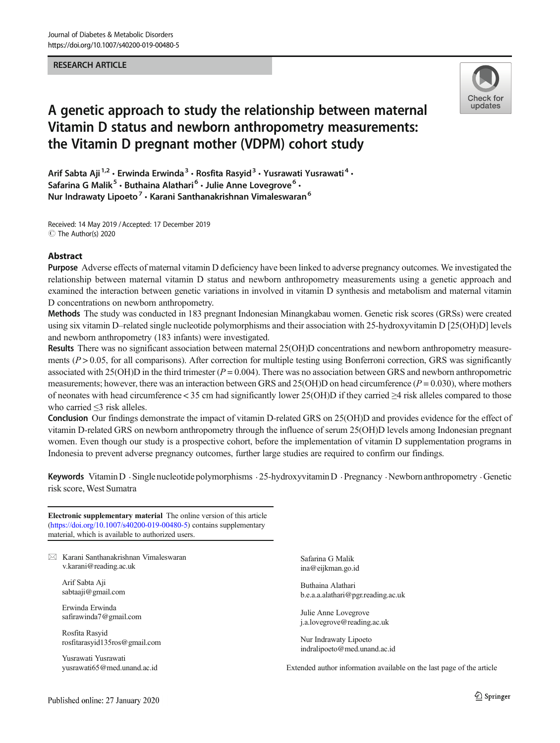#### RESEARCH ARTICLE



# A genetic approach to study the relationship between maternal Vitamin D status and newborn anthropometry measurements: the Vitamin D pregnant mother (VDPM) cohort study

Arif Sabta Aji<sup>1,2</sup> · Erwinda Erwinda<sup>3</sup> · Rosfita Rasyid<sup>3</sup> · Yusrawati Yusrawati<sup>4</sup> · Safarina G Malik<sup>5</sup> · Buthaina Alathari<sup>6</sup> · Julie Anne Lovegrove<sup>6</sup> · Nur Indrawaty Lipoeto<sup>7</sup>  $\cdot$  Karani Santhanakrishnan Vimaleswaran<sup>6</sup>

Received: 14 May 2019 / Accepted: 17 December 2019  $\circledcirc$  The Author(s) 2020

#### Abstract

Purpose Adverse effects of maternal vitamin D deficiency have been linked to adverse pregnancy outcomes. We investigated the relationship between maternal vitamin D status and newborn anthropometry measurements using a genetic approach and examined the interaction between genetic variations in involved in vitamin D synthesis and metabolism and maternal vitamin D concentrations on newborn anthropometry.

Methods The study was conducted in 183 pregnant Indonesian Minangkabau women. Genetic risk scores (GRSs) were created using six vitamin D–related single nucleotide polymorphisms and their association with 25-hydroxyvitamin D [25(OH)D] levels and newborn anthropometry (183 infants) were investigated.

Results There was no significant association between maternal 25(OH)D concentrations and newborn anthropometry measurements ( $P > 0.05$ , for all comparisons). After correction for multiple testing using Bonferroni correction, GRS was significantly associated with  $25(OH)D$  in the third trimester ( $P = 0.004$ ). There was no association between GRS and newborn anthropometric measurements; however, there was an interaction between GRS and 25(OH)D on head circumference ( $P = 0.030$ ), where mothers of neonates with head circumference < 35 cm had significantly lower 25(OH)D if they carried  $\geq$ 4 risk alleles compared to those who carried ≤3 risk alleles.

Conclusion Our findings demonstrate the impact of vitamin D-related GRS on 25(OH)D and provides evidence for the effect of vitamin D-related GRS on newborn anthropometry through the influence of serum 25(OH)D levels among Indonesian pregnant women. Even though our study is a prospective cohort, before the implementation of vitamin D supplementation programs in Indonesia to prevent adverse pregnancy outcomes, further large studies are required to confirm our findings.

Keywords Vitamin D . Single nucleotide polymorphisms . 25-hydroxyvitamin D . Pregnancy . Newborn anthropometry . Genetic risk score, West Sumatra

Electronic supplementary material The online version of this article ([https://doi.org/10.1007/s40200-019-00480-5\)](https://doi.org/10.1007/s40200-019-00480-5) contains supplementary material, which is available to authorized users.

 $\times$  Karani Santhanakrishnan Vimaleswaran [v.karani@reading.ac.uk](mailto:v.karani@reading.ac.uk)

Arif Sabta Aji sabtaaji@gmail.com

Erwinda Erwinda safirawinda7@gmail.com

Rosfita Rasyid rosfitarasyid135ros@gmail.com

Yusrawati Yusrawati yusrawati65@med.unand.ac.id Safarina G Malik ina@eijkman.go.id

Buthaina Alathari b.e.a.a.alathari@pgr.reading.ac.uk

Julie Anne Lovegrove j.a.lovegrove@reading.ac.uk

Nur Indrawaty Lipoeto indralipoeto@med.unand.ac.id

Extended author information available on the last page of the article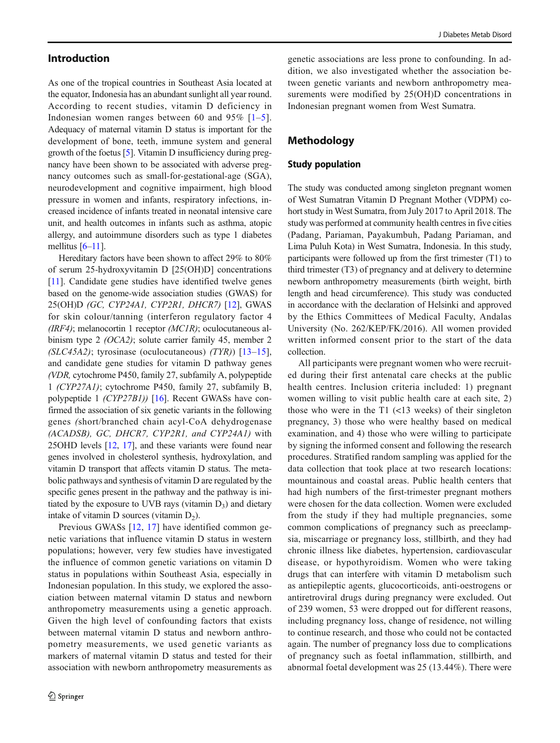### Introduction

As one of the tropical countries in Southeast Asia located at the equator, Indonesia has an abundant sunlight all year round. According to recent studies, vitamin D deficiency in Indonesian women ranges between 60 and 9[5](#page-10-0)%  $[1-5]$  $[1-5]$  $[1-5]$ . Adequacy of maternal vitamin D status is important for the development of bone, teeth, immune system and general growth of the foetus [[5\]](#page-10-0). Vitamin D insufficiency during pregnancy have been shown to be associated with adverse pregnancy outcomes such as small-for-gestational-age (SGA), neurodevelopment and cognitive impairment, high blood pressure in women and infants, respiratory infections, increased incidence of infants treated in neonatal intensive care unit, and health outcomes in infants such as asthma, atopic allergy, and autoimmune disorders such as type 1 diabetes mellitus  $[6-11]$  $[6-11]$  $[6-11]$  $[6-11]$  $[6-11]$ .

Hereditary factors have been shown to affect 29% to 80% of serum 25-hydroxyvitamin D [25(OH)D] concentrations [\[11](#page-10-0)]. Candidate gene studies have identified twelve genes based on the genome-wide association studies (GWAS) for 25(OH)D (GC, CYP24A1, CYP2R1, DHCR7) [[12\]](#page-10-0), GWAS for skin colour/tanning (interferon regulatory factor 4  $(IRF4)$ ; melanocortin 1 receptor  $(MCIR)$ ; oculocutaneous albinism type 2 (OCA2); solute carrier family 45, member 2 (SLC45A2); tyrosinase (oculocutaneous)  $(TYR)$ ) [[13](#page-11-0)-[15](#page-11-0)], and candidate gene studies for vitamin D pathway genes (VDR, cytochrome P450, family 27, subfamily A, polypeptide 1 (CYP27A1); cytochrome P450, family 27, subfamily B, polypeptide 1 (CYP27B1)) [\[16](#page-11-0)]. Recent GWASs have confirmed the association of six genetic variants in the following genes (short/branched chain acyl-CoA dehydrogenase (ACADSB), GC, DHCR7, CYP2R1, and CYP24A1) with 25OHD levels [[12](#page-10-0), [17](#page-11-0)], and these variants were found near genes involved in cholesterol synthesis, hydroxylation, and vitamin D transport that affects vitamin D status. The metabolic pathways and synthesis of vitamin D are regulated by the specific genes present in the pathway and the pathway is initiated by the exposure to UVB rays (vitamin  $D_3$ ) and dietary intake of vitamin  $D$  sources (vitamin  $D_2$ ).

Previous GWASs [\[12](#page-10-0), [17\]](#page-11-0) have identified common genetic variations that influence vitamin D status in western populations; however, very few studies have investigated the influence of common genetic variations on vitamin D status in populations within Southeast Asia, especially in Indonesian population. In this study, we explored the association between maternal vitamin D status and newborn anthropometry measurements using a genetic approach. Given the high level of confounding factors that exists between maternal vitamin D status and newborn anthropometry measurements, we used genetic variants as markers of maternal vitamin D status and tested for their association with newborn anthropometry measurements as genetic associations are less prone to confounding. In addition, we also investigated whether the association between genetic variants and newborn anthropometry measurements were modified by 25(OH)D concentrations in Indonesian pregnant women from West Sumatra.

### Methodology

#### Study population

The study was conducted among singleton pregnant women of West Sumatran Vitamin D Pregnant Mother (VDPM) cohort study in West Sumatra, from July 2017 to April 2018. The study was performed at community health centres in five cities (Padang, Pariaman, Payakumbuh, Padang Pariaman, and Lima Puluh Kota) in West Sumatra, Indonesia. In this study, participants were followed up from the first trimester (T1) to third trimester (T3) of pregnancy and at delivery to determine newborn anthropometry measurements (birth weight, birth length and head circumference). This study was conducted in accordance with the declaration of Helsinki and approved by the Ethics Committees of Medical Faculty, Andalas University (No. 262/KEP/FK/2016). All women provided written informed consent prior to the start of the data collection.

All participants were pregnant women who were recruited during their first antenatal care checks at the public health centres. Inclusion criteria included: 1) pregnant women willing to visit public health care at each site, 2) those who were in the T1 (<13 weeks) of their singleton pregnancy, 3) those who were healthy based on medical examination, and 4) those who were willing to participate by signing the informed consent and following the research procedures. Stratified random sampling was applied for the data collection that took place at two research locations: mountainous and coastal areas. Public health centers that had high numbers of the first-trimester pregnant mothers were chosen for the data collection. Women were excluded from the study if they had multiple pregnancies, some common complications of pregnancy such as preeclampsia, miscarriage or pregnancy loss, stillbirth, and they had chronic illness like diabetes, hypertension, cardiovascular disease, or hypothyroidism. Women who were taking drugs that can interfere with vitamin D metabolism such as antiepileptic agents, glucocorticoids, anti-oestrogens or antiretroviral drugs during pregnancy were excluded. Out of 239 women, 53 were dropped out for different reasons, including pregnancy loss, change of residence, not willing to continue research, and those who could not be contacted again. The number of pregnancy loss due to complications of pregnancy such as foetal inflammation, stillbirth, and abnormal foetal development was 25 (13.44%). There were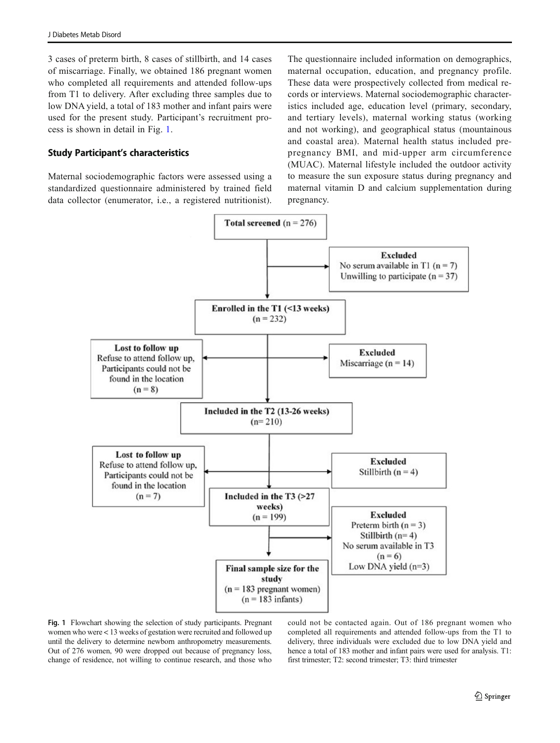3 cases of preterm birth, 8 cases of stillbirth, and 14 cases of miscarriage. Finally, we obtained 186 pregnant women who completed all requirements and attended follow-ups from T1 to delivery. After excluding three samples due to low DNA yield, a total of 183 mother and infant pairs were used for the present study. Participant's recruitment process is shown in detail in Fig. 1.

### Study Participant's characteristics

Maternal sociodemographic factors were assessed using a standardized questionnaire administered by trained field data collector (enumerator, i.e., a registered nutritionist).

The questionnaire included information on demographics. maternal occupation, education, and pregnancy profile. These data were prospectively collected from medical records or interviews. Maternal sociodemographic characteristics included age, education level (primary, secondary, and tertiary levels), maternal working status (working and not working), and geographical status (mountainous and coastal area). Maternal health status included prepregnancy BMI, and mid-upper arm circumference (MUAC). Maternal lifestyle included the outdoor activity to measure the sun exposure status during pregnancy and maternal vitamin D and calcium supplementation during pregnancy.



Fig. 1 Flowchart showing the selection of study participants. Pregnant women who were < 13 weeks of gestation were recruited and followed up until the delivery to determine newborn anthropometry measurements. Out of 276 women, 90 were dropped out because of pregnancy loss, change of residence, not willing to continue research, and those who could not be contacted again. Out of 186 pregnant women who completed all requirements and attended follow-ups from the T1 to delivery, three individuals were excluded due to low DNA yield and hence a total of 183 mother and infant pairs were used for analysis. T1: first trimester; T2: second trimester; T3: third trimester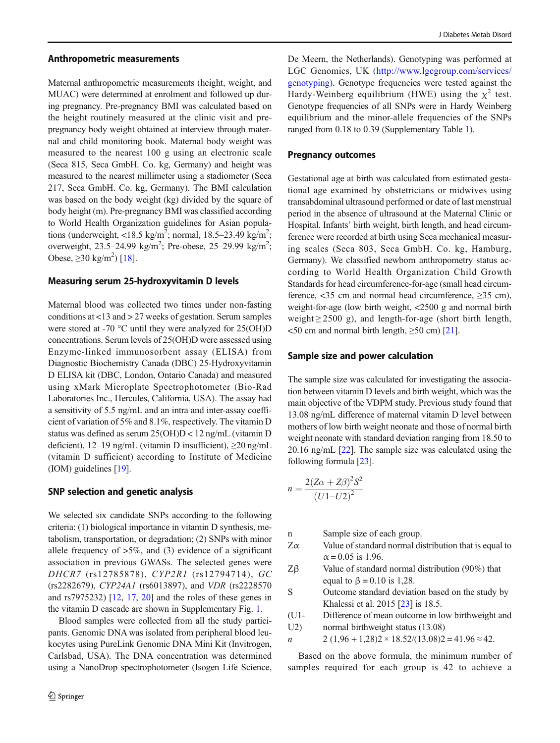#### Anthropometric measurements

Maternal anthropometric measurements (height, weight, and MUAC) were determined at enrolment and followed up during pregnancy. Pre-pregnancy BMI was calculated based on the height routinely measured at the clinic visit and prepregnancy body weight obtained at interview through maternal and child monitoring book. Maternal body weight was measured to the nearest 100 g using an electronic scale (Seca 815, Seca GmbH. Co. kg, Germany) and height was measured to the nearest millimeter using a stadiometer (Seca 217, Seca GmbH. Co. kg, Germany). The BMI calculation was based on the body weight (kg) divided by the square of body height (m). Pre-pregnancy BMI was classified according to World Health Organization guidelines for Asian populations (underweight, <18.5 kg/m<sup>2</sup>; normal, 18.5–23.49 kg/m<sup>2</sup>; overweight, 23.5–24.99 kg/m<sup>2</sup>; Pre-obese, 25–29.99 kg/m<sup>2</sup>; Obese,  $\geq$ 30 kg/m<sup>2</sup>) [[18](#page-11-0)].

#### Measuring serum 25-hydroxyvitamin D levels

Maternal blood was collected two times under non-fasting conditions at <13 and > 27 weeks of gestation. Serum samples were stored at -70 °C until they were analyzed for 25(OH)D concentrations. Serum levels of 25(OH)D were assessed using Enzyme-linked immunosorbent assay (ELISA) from Diagnostic Biochemistry Canada (DBC) 25-Hydroxyvitamin D ELISA kit (DBC, London, Ontario Canada) and measured using xMark Microplate Spectrophotometer (Bio-Rad Laboratories Inc., Hercules, California, USA). The assay had a sensitivity of 5.5 ng/mL and an intra and inter-assay coefficient of variation of 5% and 8.1%, respectively. The vitamin D status was defined as serum 25(OH)D < 12 ng/mL (vitamin D deficient), 12–19 ng/mL (vitamin D insufficient),  $\geq$ 20 ng/mL (vitamin D sufficient) according to Institute of Medicine (IOM) guidelines [\[19](#page-11-0)].

#### SNP selection and genetic analysis

We selected six candidate SNPs according to the following criteria: (1) biological importance in vitamin D synthesis, metabolism, transportation, or degradation; (2) SNPs with minor allele frequency of  $>5\%$ , and (3) evidence of a significant association in previous GWASs. The selected genes were DHCR7 (rs12785878), CYP2R1 (rs12794714), GC (rs2282679), CYP24A1 (rs6013897), and VDR (rs2228570 and rs7975232) [\[12](#page-10-0), [17,](#page-11-0) [20](#page-11-0)] and the roles of these genes in the vitamin D cascade are shown in Supplementary Fig. 1.

Blood samples were collected from all the study participants. Genomic DNA was isolated from peripheral blood leukocytes using PureLink Genomic DNA Mini Kit (Invitrogen, Carlsbad, USA). The DNA concentration was determined using a NanoDrop spectrophotometer (Isogen Life Science,

De Meern, the Netherlands). Genotyping was performed at LGC Genomics, UK [\(http://www.lgcgroup.com/services/](http://www.lgcgroup.com/services/genotyping) [genotyping\)](http://www.lgcgroup.com/services/genotyping). Genotype frequencies were tested against the Hardy-Weinberg equilibrium (HWE) using the  $\chi^2$  test. Genotype frequencies of all SNPs were in Hardy Weinberg equilibrium and the minor-allele frequencies of the SNPs ranged from 0.18 to 0.39 (Supplementary Table 1).

#### Pregnancy outcomes

Gestational age at birth was calculated from estimated gestational age examined by obstetricians or midwives using transabdominal ultrasound performed or date of last menstrual period in the absence of ultrasound at the Maternal Clinic or Hospital. Infants' birth weight, birth length, and head circumference were recorded at birth using Seca mechanical measuring scales (Seca 803, Seca GmbH. Co. kg, Hamburg, Germany). We classified newborn anthropometry status according to World Health Organization Child Growth Standards for head circumference-for-age (small head circumference, <35 cm and normal head circumference, ≥35 cm), weight-for-age (low birth weight, <2500 g and normal birth weight  $\geq$  2500 g), and length-for-age (short birth length,  $\leq$ 50 cm and normal birth length,  $\geq$ 50 cm) [\[21\]](#page-11-0).

#### Sample size and power calculation

The sample size was calculated for investigating the association between vitamin D levels and birth weight, which was the main objective of the VDPM study. Previous study found that 13.08 ng/mL difference of maternal vitamin D level between mothers of low birth weight neonate and those of normal birth weight neonate with standard deviation ranging from 18.50 to 20.16 ng/mL [\[22](#page-11-0)]. The sample size was calculated using the following formula [[23](#page-11-0)].

$$
n = \frac{2(Z\alpha + Z\beta)^2 S^2}{(U1-U2)^2}
$$

n Sample size of each group.

- $Z\alpha$  Value of standard normal distribution that is equal to  $\alpha$  = 0.05 is 1.96.
- Zβ Value of standard normal distribution  $(90\%)$  that equal to  $\beta = 0.10$  is 1,28.
- S Outcome standard deviation based on the study by Khalessi et al. 2015 [\[23](#page-11-0)] is 18.5.
- (U1- Difference of mean outcome in low birthweight and
- U2) normal birthweight status (13.08)
- n 2 (1,96 + 1,28)2 × 18.52/(13.08)2 = 41.96  $\approx$  42.

Based on the above formula, the minimum number of samples required for each group is 42 to achieve a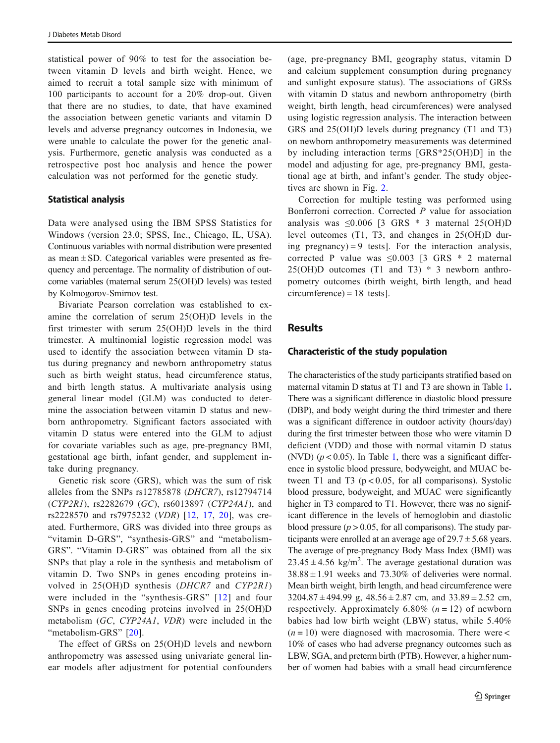statistical power of 90% to test for the association between vitamin D levels and birth weight. Hence, we aimed to recruit a total sample size with minimum of 100 participants to account for a 20% drop-out. Given that there are no studies, to date, that have examined the association between genetic variants and vitamin D levels and adverse pregnancy outcomes in Indonesia, we were unable to calculate the power for the genetic analysis. Furthermore, genetic analysis was conducted as a retrospective post hoc analysis and hence the power calculation was not performed for the genetic study.

### Statistical analysis

Data were analysed using the IBM SPSS Statistics for Windows (version 23.0; SPSS, Inc., Chicago, IL, USA). Continuous variables with normal distribution were presented as mean  $\pm$  SD. Categorical variables were presented as frequency and percentage. The normality of distribution of outcome variables (maternal serum 25(OH)D levels) was tested by Kolmogorov-Smirnov test.

Bivariate Pearson correlation was established to examine the correlation of serum 25(OH)D levels in the first trimester with serum 25(OH)D levels in the third trimester. A multinomial logistic regression model was used to identify the association between vitamin D status during pregnancy and newborn anthropometry status such as birth weight status, head circumference status, and birth length status. A multivariate analysis using general linear model (GLM) was conducted to determine the association between vitamin D status and newborn anthropometry. Significant factors associated with vitamin D status were entered into the GLM to adjust for covariate variables such as age, pre-pregnancy BMI, gestational age birth, infant gender, and supplement intake during pregnancy.

Genetic risk score (GRS), which was the sum of risk alleles from the SNPs rs12785878 (DHCR7), rs12794714 (CYP2R1), rs2282679 (GC), rs6013897 (CYP24A1), and rs2228570 and rs7975232 (VDR) [[12,](#page-10-0) [17](#page-11-0), [20](#page-11-0)], was created. Furthermore, GRS was divided into three groups as "vitamin D-GRS", "synthesis-GRS" and "metabolism-GRS". "Vitamin D-GRS" was obtained from all the six SNPs that play a role in the synthesis and metabolism of vitamin D. Two SNPs in genes encoding proteins involved in 25(OH)D synthesis (DHCR7 and CYP2R1) were included in the "synthesis-GRS" [[12](#page-10-0)] and four SNPs in genes encoding proteins involved in 25(OH)D metabolism (GC, CYP24A1, VDR) were included in the "metabolism-GRS" [\[20](#page-11-0)].

The effect of GRSs on 25(OH)D levels and newborn anthropometry was assessed using univariate general linear models after adjustment for potential confounders (age, pre-pregnancy BMI, geography status, vitamin D and calcium supplement consumption during pregnancy and sunlight exposure status). The associations of GRSs with vitamin D status and newborn anthropometry (birth weight, birth length, head circumferences) were analysed using logistic regression analysis. The interaction between GRS and 25(OH)D levels during pregnancy (T1 and T3) on newborn anthropometry measurements was determined by including interaction terms [GRS\*25(OH)D] in the model and adjusting for age, pre-pregnancy BMI, gestational age at birth, and infant's gender. The study objectives are shown in Fig. [2.](#page-5-0)

Correction for multiple testing was performed using Bonferroni correction. Corrected P value for association analysis was  $\leq 0.006$  [3 GRS \* 3 maternal 25(OH)D level outcomes (T1, T3, and changes in 25(OH)D during pregnancy $) = 9$  tests. For the interaction analysis, corrected P value was  $\leq 0.003$  [3 GRS \* 2 maternal  $25(OH)D$  outcomes (T1 and T3)  $*$  3 newborn anthropometry outcomes (birth weight, birth length, and head  $circumference = 18 \text{ tests}.$ 

# **Results**

### Characteristic of the study population

The characteristics of the study participants stratified based on maternal vitamin D status at T1 and T3 are shown in Table [1](#page-6-0). There was a significant difference in diastolic blood pressure (DBP), and body weight during the third trimester and there was a significant difference in outdoor activity (hours/day) during the first trimester between those who were vitamin D deficient (VDD) and those with normal vitamin D status (NVD) ( $p < 0.05$ ). In Table [1,](#page-6-0) there was a significant difference in systolic blood pressure, bodyweight, and MUAC between T1 and T3 ( $p < 0.05$ , for all comparisons). Systolic blood pressure, bodyweight, and MUAC were significantly higher in T3 compared to T1. However, there was no significant difference in the levels of hemoglobin and diastolic blood pressure ( $p > 0.05$ , for all comparisons). The study participants were enrolled at an average age of  $29.7 \pm 5.68$  years. The average of pre-pregnancy Body Mass Index (BMI) was  $23.45 \pm 4.56$  kg/m<sup>2</sup>. The average gestational duration was  $38.88 \pm 1.91$  weeks and 73.30% of deliveries were normal. Mean birth weight, birth length, and head circumference were  $3204.87 \pm 494.99$  g,  $48.56 \pm 2.87$  cm, and  $33.89 \pm 2.52$  cm, respectively. Approximately 6.80%  $(n = 12)$  of newborn babies had low birth weight (LBW) status, while 5.40%  $(n = 10)$  were diagnosed with macrosomia. There were < 10% of cases who had adverse pregnancy outcomes such as LBW, SGA, and preterm birth (PTB). However, a higher number of women had babies with a small head circumference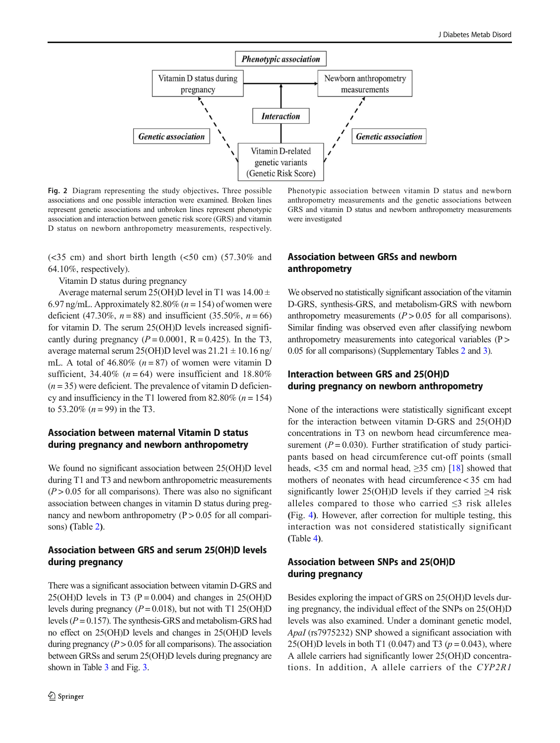<span id="page-5-0"></span>

Fig. 2 Diagram representing the study objectives. Three possible associations and one possible interaction were examined. Broken lines represent genetic associations and unbroken lines represent phenotypic association and interaction between genetic risk score (GRS) and vitamin D status on newborn anthropometry measurements, respectively.

 $(<35$  cm) and short birth length  $(<50$  cm)  $(57.30\%$  and 64.10%, respectively).

Vitamin D status during pregnancy

Average maternal serum 25(OH)D level in T1 was  $14.00 \pm$ 6.97 ng/mL. Approximately 82.80% ( $n = 154$ ) of women were deficient (47.30%,  $n = 88$ ) and insufficient (35.50%,  $n = 66$ ) for vitamin D. The serum 25(OH)D levels increased significantly during pregnancy  $(P = 0.0001, R = 0.425)$ . In the T3, average maternal serum 25(OH)D level was  $21.21 \pm 10.16$  ng/ mL. A total of  $46.80\%$  ( $n = 87$ ) of women were vitamin D sufficient, 34.40% ( $n = 64$ ) were insufficient and 18.80%  $(n = 35)$  were deficient. The prevalence of vitamin D deficiency and insufficiency in the T1 lowered from  $82.80\%$  ( $n = 154$ ) to 53.20%  $(n = 99)$  in the T3.

### Association between maternal Vitamin D status during pregnancy and newborn anthropometry

We found no significant association between 25(OH)D level during T1 and T3 and newborn anthropometric measurements  $(P > 0.05$  for all comparisons). There was also no significant association between changes in vitamin D status during pregnancy and newborn anthropometry  $(P > 0.05$  for all comparisons) (Table [2](#page-7-0)).

# Association between GRS and serum 25(OH)D levels during pregnancy

There was a significant association between vitamin D-GRS and 25(OH)D levels in T3 (P = 0.004) and changes in 25(OH)D levels during pregnancy ( $P = 0.018$ ), but not with T1 25(OH)D levels ( $P = 0.157$ ). The synthesis-GRS and metabolism-GRS had no effect on 25(OH)D levels and changes in 25(OH)D levels during pregnancy  $(P > 0.05$  for all comparisons). The association between GRSs and serum 25(OH)D levels during pregnancy are shown in Table [3](#page-7-0) and Fig. [3](#page-8-0).

Phenotypic association between vitamin D status and newborn anthropometry measurements and the genetic associations between GRS and vitamin D status and newborn anthropometry measurements were investigated

### Association between GRSs and newborn anthropometry

We observed no statistically significant association of the vitamin D-GRS, synthesis-GRS, and metabolism-GRS with newborn anthropometry measurements  $(P > 0.05$  for all comparisons). Similar finding was observed even after classifying newborn anthropometry measurements into categorical variables (P > 0.05 for all comparisons) (Supplementary Tables 2 and 3).

# Interaction between GRS and 25(OH)D during pregnancy on newborn anthropometry

None of the interactions were statistically significant except for the interaction between vitamin D-GRS and 25(OH)D concentrations in T3 on newborn head circumference measurement ( $P = 0.030$ ). Further stratification of study participants based on head circumference cut-off points (small heads, <35 cm and normal head,  $\geq$ 35 cm) [\[18](#page-11-0)] showed that mothers of neonates with head circumference < 35 cm had significantly lower 25(OH)D levels if they carried ≥4 risk alleles compared to those who carried  $\leq$ 3 risk alleles (Fig. [4](#page-8-0)). However, after correction for multiple testing, this interaction was not considered statistically significant (Table [4](#page-9-0)).

### Association between SNPs and 25(OH)D during pregnancy

Besides exploring the impact of GRS on 25(OH)D levels during pregnancy, the individual effect of the SNPs on 25(OH)D levels was also examined. Under a dominant genetic model, ApaI (rs7975232) SNP showed a significant association with 25(OH)D levels in both T1 (0.047) and T3 ( $p = 0.043$ ), where A allele carriers had significantly lower 25(OH)D concentrations. In addition, A allele carriers of the CYP2R1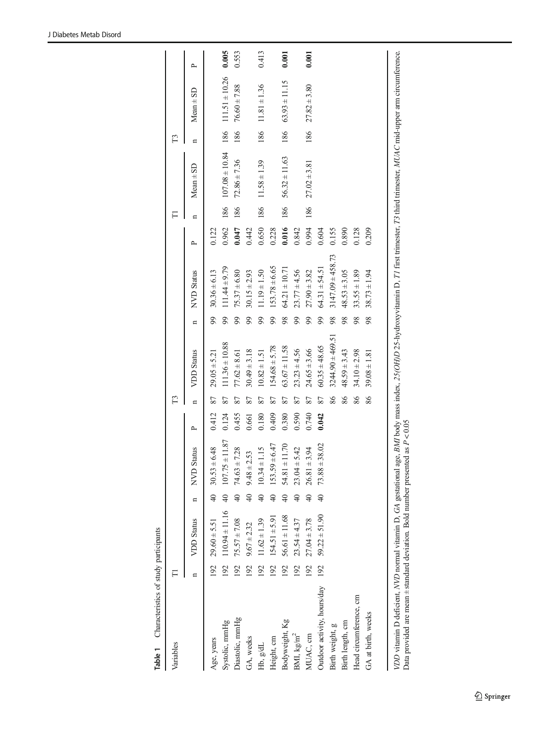<span id="page-6-0"></span>

| Variables                                                                                                                                                                                      | F                |                        |                      |                    |       | F3 |                      |    |                      |       | FI  |                   | F3                      |                                                   |              |
|------------------------------------------------------------------------------------------------------------------------------------------------------------------------------------------------|------------------|------------------------|----------------------|--------------------|-------|----|----------------------|----|----------------------|-------|-----|-------------------|-------------------------|---------------------------------------------------|--------------|
|                                                                                                                                                                                                |                  | <b>VDD</b> Status      | $\mathbf{a}$         | NVD Status         | ≏     | n  | <b>VDD</b> Status    | n  | <b>NVD</b> Status    | ≏     | n   | $Mean \pm SD$     | $\overline{\mathbf{u}}$ | $Mean + SD$                                       | $\mathsf{p}$ |
| Age, years                                                                                                                                                                                     |                  | $192$ $29.60 \pm 5.51$ | $\frac{1}{2}$        | $30.53 \pm 6.48$   | 0.412 | 87 | $29.05 \pm 5.21$     | 99 | $30.36 \pm 6.13$     | 0.122 |     |                   |                         |                                                   |              |
| Systolic, mmHg                                                                                                                                                                                 | 192              | $110.94 \pm 11.16$     | $\overline{40}$      | $107.75 \pm 11.87$ | 0.124 | 87 | $111.36 \pm 10.88$   | 99 | $111.44 \pm 9.79$    | 0.962 |     |                   |                         | $186$ $107.08 \pm 10.84$ $186$ $111.51 \pm 10.26$ | 0.005        |
| Diastolic, mmHg                                                                                                                                                                                | $\overline{192}$ | $75.57 \pm 7.08$       | $\frac{4}{\sqrt{2}}$ | $74.63 \pm 7.28$   | 0.455 | 87 | $77.62 \pm 8.61$     | 99 | $75.37 \pm 6.80$     | 0.047 | 186 | $72.86 \pm 7.36$  | 186                     | $76.60 \pm 7.88$                                  | 0.553        |
| GA, weeks                                                                                                                                                                                      | 192              | $9.67 \pm 2.32$        | $\frac{1}{4}$        | $9.48 \pm 2.53$    | 0.661 | 87 | $30.49 \pm 3.18$     | 99 | $30.15 \pm 2.93$     | 0.442 |     |                   |                         |                                                   |              |
| Hb, g/dL                                                                                                                                                                                       | 192              | $11.62 \pm 1.39$       | $\frac{4}{3}$        | $10.34 \pm 1.15$   | 0.180 | 87 | $10.82 \pm 1.51$     | 99 | $11.19 \pm 1.50$     | 0.650 | 186 | $11.58 \pm 1.39$  |                         | $186$ $11.81 \pm 1.36$                            | 0.413        |
| Height, cm                                                                                                                                                                                     | 192              | $154.51 \pm 5.91$      | 40                   | $153.59 \pm 6.47$  | 0.409 | 87 | $154.68 \pm 5.78$    | 99 | $153.78 \pm 6.65$    | 0.228 |     |                   |                         |                                                   |              |
| Bodyweight, Kg                                                                                                                                                                                 | 192              | $56.61 \pm 11.68$      | $\frac{1}{2}$        | $54.81 \pm 11.70$  | 0.380 | 87 | $63.67 \pm 11.58$    | 98 | $64.21 \pm 10.71$    | 0.016 | 186 | $56.32 \pm 11.63$ |                         | $186$ $63.93 \pm 11.15$                           | 0.001        |
| BMI, kg/m <sup>2</sup>                                                                                                                                                                         | 192              | $23.54 \pm 4.37$       | $\frac{1}{4}$        | $23.04 \pm 5.42$   | 0.590 | 87 | $23.23 \pm 4.56$     | 99 | $23.77 \pm 4.56$     | 0.842 |     |                   |                         |                                                   |              |
| MUAC, cm                                                                                                                                                                                       | 192              | $27.04 \pm 3.78$       | $\frac{40}{5}$       | $26.81 \pm 3.94$   | 0.740 | 87 | $24.65 \pm 3.66$     | 99 | $27.90 \pm 3.82$     | 0.994 | 186 | $27.02 \pm 3.81$  |                         | $186$ $27.82 \pm 3.80$                            | 0.001        |
| Outdoor activity, hours/day                                                                                                                                                                    | 192              | $59.22 \pm 51.90$      | $\frac{4}{5}$        | $73.88 \pm 38.02$  | 0.042 | 87 | $60.35 \pm 48.65$    | 99 | $64.31 \pm 54.51$    | 0.604 |     |                   |                         |                                                   |              |
| Birth weight, g                                                                                                                                                                                |                  |                        |                      |                    |       | 86 | $3244.90 \pm 469.51$ | 98 | $3147.09 \pm 458.73$ | 0.155 |     |                   |                         |                                                   |              |
| Birth length, cm                                                                                                                                                                               |                  |                        |                      |                    |       | 86 | $48.59 \pm 3.43$     | 98 | $48.53 \pm 3.05$     | 0.890 |     |                   |                         |                                                   |              |
| Head circumference, cm                                                                                                                                                                         |                  |                        |                      |                    |       | 86 | $34.10 \pm 2.98$     | 98 | $33.55 \pm 1.89$     | 0.128 |     |                   |                         |                                                   |              |
| GA at birth, weeks                                                                                                                                                                             |                  |                        |                      |                    |       | 86 | $39.08 \pm 1.81$     | 98 | $38.73 \pm 1.94$     | 0.209 |     |                   |                         |                                                   |              |
|                                                                                                                                                                                                |                  |                        |                      |                    |       |    |                      |    |                      |       |     |                   |                         |                                                   |              |
| VDD vitamin D deficient, NVD normal vitamin D, GA gestational age, BMI body mass index, 25(OH)D 25-hydroxyvitamin D, T1 first trimester, T3 third trimester, MUAC mid-upper arm circumference. |                  |                        |                      |                    |       |    |                      |    |                      |       |     |                   |                         |                                                   |              |

Table 1 Characteristics of study participants

Table 1 Characteristics of study participants

Data provided are mean  $\pm$  standard deviation. Bold number presented as  $P < 0.05$ Data provided are mean  $\pm$  standard deviation. Bold number presented as  $P < 0.05$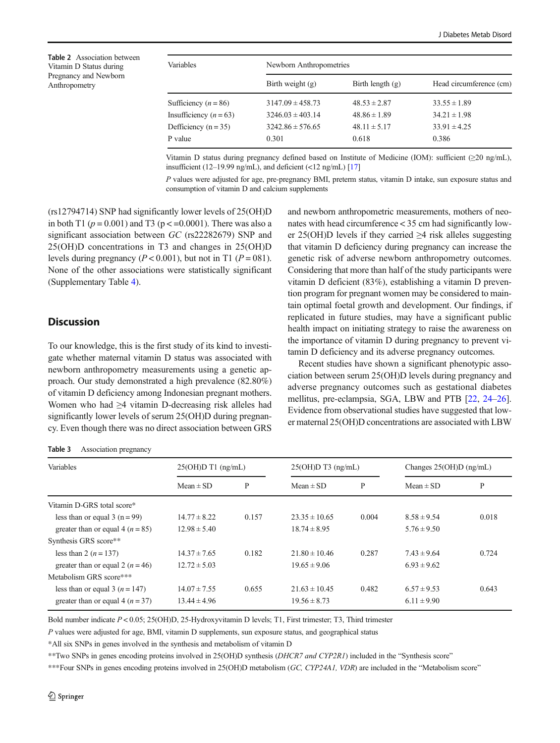<span id="page-7-0"></span>Table 2 Association between Vitamin D Status during Pregnancy and Newborn Anthropometry

| Variables                | Newborn Anthropometries |                    |                         |  |  |  |
|--------------------------|-------------------------|--------------------|-------------------------|--|--|--|
|                          | Birth weight $(g)$      | Birth length $(g)$ | Head circumference (cm) |  |  |  |
| Sufficiency ( $n = 86$ ) | $3147.09 \pm 458.73$    | $48.53 \pm 2.87$   | $33.55 \pm 1.89$        |  |  |  |
| Insufficiency $(n = 63)$ | $3246.03 \pm 403.14$    | $48.86 \pm 1.89$   | $34.21 \pm 1.98$        |  |  |  |
| Defficiency $(n = 35)$   | $3242.86 \pm 576.65$    | $48.11 \pm 5.17$   | $33.91 \pm 4.25$        |  |  |  |
| P value                  | 0.301                   | 0.618              | 0.386                   |  |  |  |

Vitamin D status during pregnancy defined based on Institute of Medicine (IOM): sufficient (≥20 ng/mL), insufficient (12–19.99 ng/mL), and deficient (<12 ng/mL)  $[17]$ 

P values were adjusted for age, pre-pregnancy BMI, preterm status, vitamin D intake, sun exposure status and consumption of vitamin D and calcium supplements

(rs12794714) SNP had significantly lower levels of 25(OH)D in both T1 ( $p = 0.001$ ) and T3 ( $p < 0.0001$ ). There was also a significant association between GC (rs22282679) SNP and 25(OH)D concentrations in T3 and changes in 25(OH)D levels during pregnancy ( $P < 0.001$ ), but not in T1 ( $P = 081$ ). None of the other associations were statistically significant (Supplementary Table 4).

### **Discussion**

To our knowledge, this is the first study of its kind to investigate whether maternal vitamin D status was associated with newborn anthropometry measurements using a genetic approach. Our study demonstrated a high prevalence (82.80%) of vitamin D deficiency among Indonesian pregnant mothers. Women who had ≥4 vitamin D-decreasing risk alleles had significantly lower levels of serum 25(OH)D during pregnancy. Even though there was no direct association between GRS

#### Table 3 Association pregnancy

and newborn anthropometric measurements, mothers of neonates with head circumference < 35 cm had significantly lower 25(OH)D levels if they carried ≥4 risk alleles suggesting that vitamin D deficiency during pregnancy can increase the genetic risk of adverse newborn anthropometry outcomes. Considering that more than half of the study participants were vitamin D deficient (83%), establishing a vitamin D prevention program for pregnant women may be considered to maintain optimal foetal growth and development. Our findings, if replicated in future studies, may have a significant public health impact on initiating strategy to raise the awareness on the importance of vitamin D during pregnancy to prevent vitamin D deficiency and its adverse pregnancy outcomes.

Recent studies have shown a significant phenotypic association between serum 25(OH)D levels during pregnancy and adverse pregnancy outcomes such as gestational diabetes mellitus, pre-eclampsia, SGA, LBW and PTB [[22,](#page-11-0) [24](#page-11-0)–[26\]](#page-11-0). Evidence from observational studies have suggested that lower maternal 25(OH)D concentrations are associated with LBW

| Variables                            | $25(OH)D T1$ (ng/mL) |       | $25(OH)D T3$ (ng/mL) |       | Changes $25(OH)D$ (ng/mL) |       |
|--------------------------------------|----------------------|-------|----------------------|-------|---------------------------|-------|
|                                      | $Mean \pm SD$        | P     | $Mean \pm SD$        | P     | $Mean \pm SD$             | P     |
| Vitamin D-GRS total score*           |                      |       |                      |       |                           |       |
| less than or equal $3(n=99)$         | $14.77 \pm 8.22$     | 0.157 | $23.35 \pm 10.65$    | 0.004 | $8.58 \pm 9.54$           | 0.018 |
| greater than or equal 4 ( $n = 85$ ) | $12.98 \pm 5.40$     |       | $18.74 \pm 8.95$     |       | $5.76 \pm 9.50$           |       |
| Synthesis GRS score**                |                      |       |                      |       |                           |       |
| less than 2 $(n = 137)$              | $14.37 \pm 7.65$     | 0.182 | $21.80 \pm 10.46$    | 0.287 | $7.43 \pm 9.64$           | 0.724 |
| greater than or equal 2 $(n=46)$     | $12.72 \pm 5.03$     |       | $19.65 \pm 9.06$     |       | $6.93 \pm 9.62$           |       |
| Metabolism GRS score***              |                      |       |                      |       |                           |       |
| less than or equal 3 $(n = 147)$     | $14.07 \pm 7.55$     | 0.655 | $21.63 \pm 10.45$    | 0.482 | $6.57 \pm 9.53$           | 0.643 |
| greater than or equal 4 $(n = 37)$   | $13.44 \pm 4.96$     |       | $19.56 \pm 8.73$     |       | $6.11 \pm 9.90$           |       |

Bold number indicate P < 0.05; 25(OH)D, 25-Hydroxyvitamin D levels; T1, First trimester; T3, Third trimester

P values were adjusted for age, BMI, vitamin D supplements, sun exposure status, and geographical status

\*All six SNPs in genes involved in the synthesis and metabolism of vitamin D

\*\*Two SNPs in genes encoding proteins involved in 25(OH)D synthesis (DHCR7 and CYP2R1) included in the "Synthesis score"

\*\*\*Four SNPs in genes encoding proteins involved in 25(OH)D metabolism (GC, CYP24A1, VDR) are included in the "Metabolism score"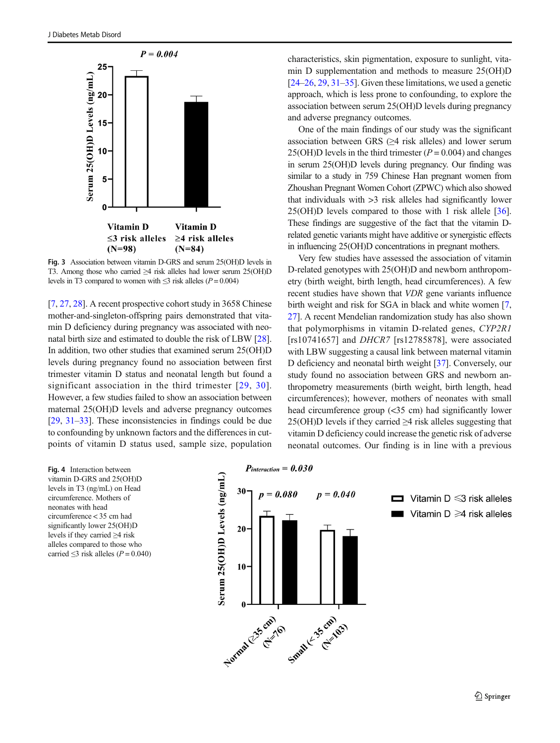<span id="page-8-0"></span>

Fig. 3 Association between vitamin D-GRS and serum 25(OH)D levels in T3. Among those who carried ≥4 risk alleles had lower serum 25(OH)D levels in T3 compared to women with  $\leq$ 3 risk alleles (P = 0.004)

[\[7](#page-10-0), [27](#page-11-0), [28\]](#page-11-0). A recent prospective cohort study in 3658 Chinese mother-and-singleton-offspring pairs demonstrated that vitamin D deficiency during pregnancy was associated with neonatal birth size and estimated to double the risk of LBW [[28\]](#page-11-0). In addition, two other studies that examined serum 25(OH)D levels during pregnancy found no association between first trimester vitamin D status and neonatal length but found a significant association in the third trimester [\[29](#page-11-0), [30](#page-11-0)]. However, a few studies failed to show an association between maternal 25(OH)D levels and adverse pregnancy outcomes [\[29,](#page-11-0) [31](#page-11-0)–[33](#page-11-0)]. These inconsistencies in findings could be due to confounding by unknown factors and the differences in cutpoints of vitamin D status used, sample size, population characteristics, skin pigmentation, exposure to sunlight, vitamin D supplementation and methods to measure 25(OH)D  $[24–26, 29, 31–35]$  $[24–26, 29, 31–35]$  $[24–26, 29, 31–35]$  $[24–26, 29, 31–35]$  $[24–26, 29, 31–35]$  $[24–26, 29, 31–35]$  $[24–26, 29, 31–35]$  $[24–26, 29, 31–35]$  $[24–26, 29, 31–35]$ . Given these limitations, we used a genetic approach, which is less prone to confounding, to explore the association between serum 25(OH)D levels during pregnancy and adverse pregnancy outcomes.

One of the main findings of our study was the significant association between GRS  $(\geq 4$  risk alleles) and lower serum 25(OH)D levels in the third trimester ( $P = 0.004$ ) and changes in serum 25(OH)D levels during pregnancy. Our finding was similar to a study in 759 Chinese Han pregnant women from Zhoushan Pregnant Women Cohort (ZPWC) which also showed that individuals with >3 risk alleles had significantly lower 25(OH)D levels compared to those with 1 risk allele [[36\]](#page-11-0). These findings are suggestive of the fact that the vitamin Drelated genetic variants might have additive or synergistic effects in influencing 25(OH)D concentrations in pregnant mothers.

Very few studies have assessed the association of vitamin D-related genotypes with 25(OH)D and newborn anthropometry (birth weight, birth length, head circumferences). A few recent studies have shown that VDR gene variants influence birth weight and risk for SGA in black and white women [[7,](#page-10-0) [27\]](#page-11-0). A recent Mendelian randomization study has also shown that polymorphisms in vitamin D-related genes, CYP2R1 [rs10741657] and *DHCR7* [rs12785878], were associated with LBW suggesting a causal link between maternal vitamin D deficiency and neonatal birth weight [\[37](#page-11-0)]. Conversely, our study found no association between GRS and newborn anthropometry measurements (birth weight, birth length, head circumferences); however, mothers of neonates with small head circumference group (<35 cm) had significantly lower 25(OH)D levels if they carried  $\geq$ 4 risk alleles suggesting that vitamin D deficiency could increase the genetic risk of adverse neonatal outcomes. Our finding is in line with a previous

Fig. 4 Interaction between vitamin D-GRS and 25(OH)D levels in T3 (ng/mL) on Head circumference. Mothers of neonates with head circumference < 35 cm had significantly lower 25(OH)D levels if they carried ≥4 risk alleles compared to those who carried  $\leq$ 3 risk alleles (P = 0.040)

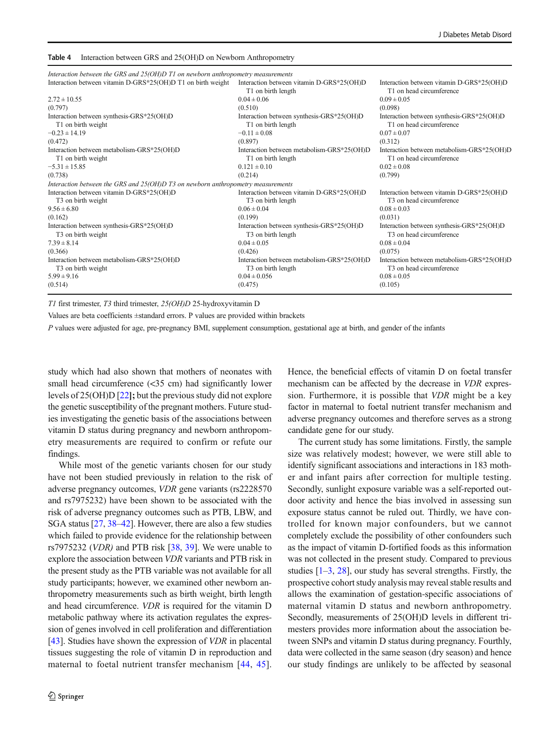#### <span id="page-9-0"></span>Table 4 Interaction between GRS and 25(OH)D on Newborn Anthropometry

| Interaction between the GRS and 25(OH)D T1 on newborn anthropometry measurements |                                                                 |                                                                       |
|----------------------------------------------------------------------------------|-----------------------------------------------------------------|-----------------------------------------------------------------------|
| Interaction between vitamin D-GRS*25(OH)D T1 on birth weight                     | Interaction between vitamin D-GRS*25(OH)D<br>T1 on birth length | Interaction between vitamin D-GRS*25(OH)D<br>T1 on head circumference |
| $2.72 \pm 10.55$                                                                 | $0.04 \pm 0.06$                                                 | $0.09 \pm 0.05$                                                       |
| (0.797)                                                                          | (0.510)                                                         | (0.098)                                                               |
| Interaction between synthesis-GRS*25(OH)D                                        | Interaction between synthesis-GRS*25(OH)D                       | Interaction between synthesis-GRS*25(OH)D                             |
| T1 on birth weight                                                               | T1 on birth length                                              | T1 on head circumference                                              |
| $-0.23 \pm 14.19$                                                                | $-0.11 \pm 0.08$                                                | $0.07 \pm 0.07$                                                       |
| (0.472)                                                                          | (0.897)                                                         | (0.312)                                                               |
| Interaction between metabolism-GRS*25(OH)D                                       | Interaction between metabolism-GRS*25(OH)D                      | Interaction between metabolism-GRS*25(OH)D                            |
| T1 on birth weight                                                               | T1 on birth length                                              | T1 on head circumference                                              |
| $-5.31 \pm 15.85$                                                                | $0.121 \pm 0.10$                                                | $0.02 \pm 0.08$                                                       |
| (0.738)                                                                          | (0.214)                                                         | (0.799)                                                               |
| Interaction between the GRS and 25(OH)D T3 on newborn anthropometry measurements |                                                                 |                                                                       |
| Interaction between vitamin D-GRS*25(OH)D                                        | Interaction between vitamin D-GRS*25(OH)D                       | Interaction between vitamin D-GRS*25(OH)D                             |
| T3 on birth weight                                                               | T <sub>3</sub> on birth length                                  | T <sub>3</sub> on head circumference                                  |
| $9.56 \pm 6.80$                                                                  | $0.06 \pm 0.04$                                                 | $0.08 \pm 0.03$                                                       |
| (0.162)                                                                          | (0.199)                                                         | (0.031)                                                               |
| Interaction between synthesis-GRS*25(OH)D                                        | Interaction between synthesis-GRS*25(OH)D                       | Interaction between synthesis-GRS*25(OH)D                             |
| T <sub>3</sub> on birth weight                                                   | T <sub>3</sub> on birth length                                  | T <sub>3</sub> on head circumference                                  |
| $7.39 \pm 8.14$                                                                  | $0.04 \pm 0.05$                                                 | $0.08 \pm 0.04$                                                       |
| (0.366)                                                                          | (0.426)                                                         | (0.075)                                                               |
| Interaction between metabolism-GRS*25(OH)D                                       | Interaction between metabolism-GRS*25(OH)D                      | Interaction between metabolism-GRS*25(OH)D                            |
| T <sub>3</sub> on birth weight                                                   | T <sub>3</sub> on birth length                                  | T <sub>3</sub> on head circumference                                  |
| $5.99 \pm 9.16$                                                                  | $0.04 \pm 0.056$                                                | $0.08 \pm 0.05$                                                       |
| (0.514)                                                                          | (0.475)                                                         | (0.105)                                                               |
|                                                                                  |                                                                 |                                                                       |

T1 first trimester, T3 third trimester, 25(OH)D 25-hydroxyvitamin D

Values are beta coefficients ±standard errors. P values are provided within brackets

P values were adjusted for age, pre-pregnancy BMI, supplement consumption, gestational age at birth, and gender of the infants

study which had also shown that mothers of neonates with small head circumference (<35 cm) had significantly lower levels of 25(OH)D [[22](#page-11-0)]; but the previous study did not explore the genetic susceptibility of the pregnant mothers. Future studies investigating the genetic basis of the associations between vitamin D status during pregnancy and newborn anthropometry measurements are required to confirm or refute our findings.

While most of the genetic variants chosen for our study have not been studied previously in relation to the risk of adverse pregnancy outcomes, VDR gene variants (rs2228570 and rs7975232) have been shown to be associated with the risk of adverse pregnancy outcomes such as PTB, LBW, and SGA status [\[27,](#page-11-0) [38](#page-11-0)–[42\]](#page-11-0). However, there are also a few studies which failed to provide evidence for the relationship between rs7975232 (VDR) and PTB risk [[38,](#page-11-0) [39\]](#page-11-0). We were unable to explore the association between VDR variants and PTB risk in the present study as the PTB variable was not available for all study participants; however, we examined other newborn anthropometry measurements such as birth weight, birth length and head circumference. VDR is required for the vitamin D metabolic pathway where its activation regulates the expression of genes involved in cell proliferation and differentiation [\[43\]](#page-11-0). Studies have shown the expression of *VDR* in placental tissues suggesting the role of vitamin D in reproduction and maternal to foetal nutrient transfer mechanism [[44](#page-11-0), [45](#page-11-0)].

Hence, the beneficial effects of vitamin D on foetal transfer mechanism can be affected by the decrease in VDR expression. Furthermore, it is possible that VDR might be a key factor in maternal to foetal nutrient transfer mechanism and adverse pregnancy outcomes and therefore serves as a strong candidate gene for our study.

The current study has some limitations. Firstly, the sample size was relatively modest; however, we were still able to identify significant associations and interactions in 183 mother and infant pairs after correction for multiple testing. Secondly, sunlight exposure variable was a self-reported outdoor activity and hence the bias involved in assessing sun exposure status cannot be ruled out. Thirdly, we have controlled for known major confounders, but we cannot completely exclude the possibility of other confounders such as the impact of vitamin D-fortified foods as this information was not collected in the present study. Compared to previous studies  $[1–3, 28]$  $[1–3, 28]$  $[1–3, 28]$  $[1–3, 28]$  $[1–3, 28]$ , our study has several strengths. Firstly, the prospective cohort study analysis may reveal stable results and allows the examination of gestation-specific associations of maternal vitamin D status and newborn anthropometry. Secondly, measurements of 25(OH)D levels in different trimesters provides more information about the association between SNPs and vitamin D status during pregnancy. Fourthly, data were collected in the same season (dry season) and hence our study findings are unlikely to be affected by seasonal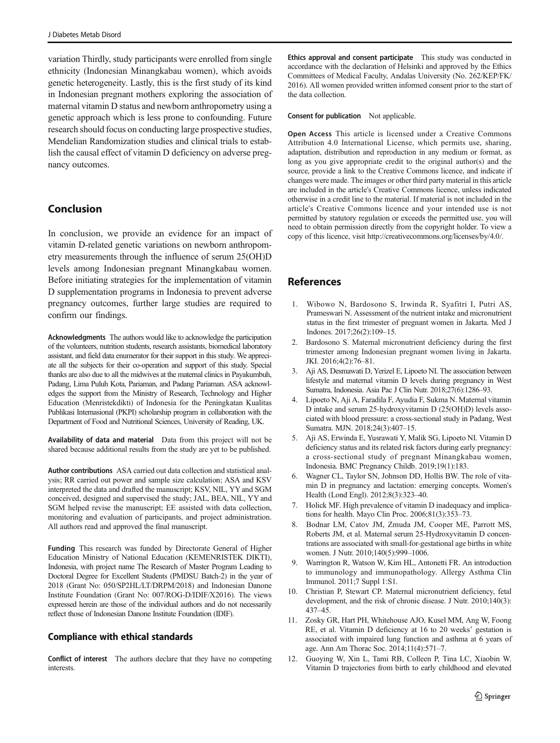<span id="page-10-0"></span>variation Thirdly, study participants were enrolled from single ethnicity (Indonesian Minangkabau women), which avoids genetic heterogeneity. Lastly, this is the first study of its kind in Indonesian pregnant mothers exploring the association of maternal vitamin D status and newborn anthropometry using a genetic approach which is less prone to confounding. Future research should focus on conducting large prospective studies, Mendelian Randomization studies and clinical trials to establish the causal effect of vitamin D deficiency on adverse pregnancy outcomes.

# Conclusion

In conclusion, we provide an evidence for an impact of vitamin D-related genetic variations on newborn anthropometry measurements through the influence of serum 25(OH)D levels among Indonesian pregnant Minangkabau women. Before initiating strategies for the implementation of vitamin D supplementation programs in Indonesia to prevent adverse pregnancy outcomes, further large studies are required to confirm our findings.

Acknowledgments The authors would like to acknowledge the participation of the volunteers, nutrition students, research assistants, biomedical laboratory assistant, and field data enumerator for their support in this study. We appreciate all the subjects for their co-operation and support of this study. Special thanks are also due to all the midwives at the maternal clinics in Payakumbuh, Padang, Lima Puluh Kota, Pariaman, and Padang Pariaman. ASA acknowledges the support from the Ministry of Research, Technology and Higher Education (Menristekdikti) of Indonesia for the Peningkatan Kualitas Publikasi Internasional (PKPI) scholarship program in collaboration with the Department of Food and Nutritional Sciences, University of Reading, UK.

Availability of data and material Data from this project will not be shared because additional results from the study are yet to be published.

Author contributions ASA carried out data collection and statistical analysis; RR carried out power and sample size calculation; ASA and KSV interpreted the data and drafted the manuscript; KSV, NIL, YY and SGM conceived, designed and supervised the study; JAL, BEA, NIL, YY and SGM helped revise the manuscript; EE assisted with data collection, monitoring and evaluation of participants, and project administration. All authors read and approved the final manuscript.

Funding This research was funded by Directorate General of Higher Education Ministry of National Education (KEMENRISTEK DIKTI), Indonesia, with project name The Research of Master Program Leading to Doctoral Degree for Excellent Students (PMDSU Batch-2) in the year of 2018 (Grant No: 050/SP2HL/LT/DRPM/2018) and Indonesian Danone Institute Foundation (Grant No: 007/ROG-D/IDIF/X2016). The views expressed herein are those of the individual authors and do not necessarily reflect those of Indonesian Danone Institute Foundation (IDIF).

### Compliance with ethical standards

Conflict of interest The authors declare that they have no competing interests.

Ethics approval and consent participate This study was conducted in accordance with the declaration of Helsinki and approved by the Ethics Committees of Medical Faculty, Andalas University (No. 262/KEP/FK/ 2016). All women provided written informed consent prior to the start of the data collection.

Consent for publication Not applicable.

Open Access This article is licensed under a Creative Commons Attribution 4.0 International License, which permits use, sharing, adaptation, distribution and reproduction in any medium or format, as long as you give appropriate credit to the original author(s) and the source, provide a link to the Creative Commons licence, and indicate if changes were made. The images or other third party material in this article are included in the article's Creative Commons licence, unless indicated otherwise in a credit line to the material. If material is not included in the article's Creative Commons licence and your intended use is not permitted by statutory regulation or exceeds the permitted use, you will need to obtain permission directly from the copyright holder. To view a copy of this licence, visit http://creativecommons.org/licenses/by/4.0/.

## References

- 1. Wibowo N, Bardosono S, Irwinda R, Syafitri I, Putri AS, Prameswari N. Assessment of the nutrient intake and micronutrient status in the first trimester of pregnant women in Jakarta. Med J Indones. 2017;26(2):109–15.
- 2. Bardosono S. Maternal micronutrient deficiency during the first trimester among Indonesian pregnant women living in Jakarta. JKI. 2016;4(2):76–81.
- 3. Aji AS, Desmawati D, Yerizel E, Lipoeto NI. The association between lifestyle and maternal vitamin D levels during pregnancy in West Sumatra, Indonesia. Asia Pac J Clin Nutr. 2018;27(6):1286–93.
- 4. Lipoeto N, Aji A, Faradila F, Ayudia F, Sukma N. Maternal vitamin D intake and serum 25-hydroxyvitamin D (25(OH)D) levels associated with blood pressure: a cross-sectional study in Padang, West Sumatra. MJN. 2018;24(3):407–15.
- 5. Aji AS, Erwinda E, Yusrawati Y, Malik SG, Lipoeto NI. Vitamin D deficiency status and its related risk factors during early pregnancy: a cross-sectional study of pregnant Minangkabau women, Indonesia. BMC Pregnancy Childb. 2019;19(1):183.
- 6. Wagner CL, Taylor SN, Johnson DD, Hollis BW. The role of vitamin D in pregnancy and lactation: emerging concepts. Women's Health (Lond Engl). 2012;8(3):323–40.
- 7. Holick MF. High prevalence of vitamin D inadequacy and implications for health. Mayo Clin Proc. 2006;81(3):353–73.
- 8. Bodnar LM, Catov JM, Zmuda JM, Cooper ME, Parrott MS, Roberts JM, et al. Maternal serum 25-Hydroxyvitamin D concentrations are associated with small-for-gestational age births in white women. J Nutr. 2010;140(5):999-1006.
- 9. Warrington R, Watson W, Kim HL, Antonetti FR. An introduction to immunology and immunopathology. Allergy Asthma Clin Immunol. 2011;7 Suppl 1:S1.
- 10. Christian P, Stewart CP. Maternal micronutrient deficiency, fetal development, and the risk of chronic disease. J Nutr. 2010;140(3): 437–45.
- 11. Zosky GR, Hart PH, Whitehouse AJO, Kusel MM, Ang W, Foong RE, et al. Vitamin D deficiency at 16 to 20 weeks' gestation is associated with impaired lung function and asthma at 6 years of age. Ann Am Thorac Soc. 2014;11(4):571–7.
- 12. Guoying W, Xin L, Tami RB, Colleen P, Tina LC, Xiaobin W. Vitamin D trajectories from birth to early childhood and elevated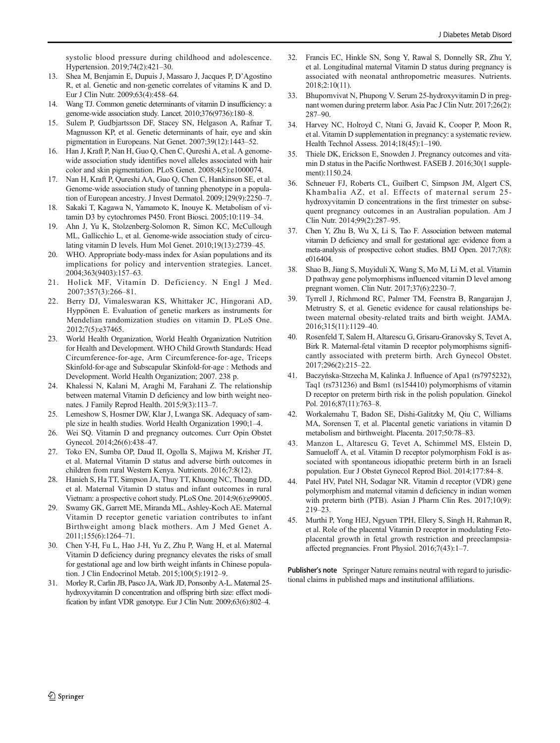<span id="page-11-0"></span>systolic blood pressure during childhood and adolescence. Hypertension. 2019;74(2):421–30.

- 13. Shea M, Benjamin E, Dupuis J, Massaro J, Jacques P, D'Agostino R, et al. Genetic and non-genetic correlates of vitamins K and D. Eur J Clin Nutr. 2009;63(4):458–64.
- 14. Wang TJ. Common genetic determinants of vitamin D insufficiency: a genome-wide association study. Lancet. 2010;376(9736):180–8.
- 15. Sulem P, Gudbjartsson DF, Stacey SN, Helgason A, Rafnar T, Magnusson KP, et al. Genetic determinants of hair, eye and skin pigmentation in Europeans. Nat Genet. 2007;39(12):1443–52.
- 16. Han J, Kraft P, Nan H, Guo Q, Chen C, Qureshi A, et al. A genomewide association study identifies novel alleles associated with hair color and skin pigmentation. PLoS Genet. 2008;4(5):e1000074.
- 17. Nan H, Kraft P, Qureshi AA, Guo Q, Chen C, Hankinson SE, et al. Genome-wide association study of tanning phenotype in a population of European ancestry. J Invest Dermatol. 2009;129(9):2250–7.
- 18. Sakaki T, Kagawa N, Yamamoto K, Inouye K. Metabolism of vitamin D3 by cytochromes P450. Front Biosci. 2005;10:119–34.
- 19. Ahn J, Yu K, Stolzenberg-Solomon R, Simon KC, McCullough ML, Gallicchio L, et al. Genome-wide association study of circulating vitamin D levels. Hum Mol Genet. 2010;19(13):2739–45.
- 20. WHO. Appropriate body-mass index for Asian populations and its implications for policy and intervention strategies. Lancet. 2004;363(9403):157–63.
- 21. Holick MF, Vitamin D. Deficiency. N Engl J Med. 2007;357(3):266–81.
- Berry DJ, Vimaleswaran KS, Whittaker JC, Hingorani AD, Hyppönen E. Evaluation of genetic markers as instruments for Mendelian randomization studies on vitamin D. PLoS One. 2012;7(5):e37465.
- 23. World Health Organization, World Health Organization Nutrition for Health and Development. WHO Child Growth Standards: Head Circumference-for-age, Arm Circumference-for-age, Triceps Skinfold-for-age and Subscapular Skinfold-for-age : Methods and Development. World Health Organization; 2007. 238 p.
- 24. Khalessi N, Kalani M, Araghi M, Farahani Z. The relationship between maternal Vitamin D deficiency and low birth weight neonates. J Family Reprod Health. 2015;9(3):113–7.
- 25. Lemeshow S, Hosmer DW, Klar J, Lwanga SK. Adequacy of sample size in health studies. World Health Organization 1990;1–4.
- 26. Wei SQ. Vitamin D and pregnancy outcomes. Curr Opin Obstet Gynecol. 2014;26(6):438–47.
- 27. Toko EN, Sumba OP, Daud II, Ogolla S, Majiwa M, Krisher JT, et al. Maternal Vitamin D status and adverse birth outcomes in children from rural Western Kenya. Nutrients. 2016;7:8(12).
- 28. Hanieh S, Ha TT, Simpson JA, Thuy TT, Khuong NC, Thoang DD, et al. Maternal Vitamin D status and infant outcomes in rural Vietnam: a prospective cohort study. PLoS One. 2014;9(6):e99005.
- 29. Swamy GK, Garrett ME, Miranda ML, Ashley-Koch AE. Maternal Vitamin D receptor genetic variation contributes to infant Birthweight among black mothers. Am J Med Genet A. 2011;155(6):1264–71.
- 30. Chen Y-H, Fu L, Hao J-H, Yu Z, Zhu P, Wang H, et al. Maternal Vitamin D deficiency during pregnancy elevates the risks of small for gestational age and low birth weight infants in Chinese population. J Clin Endocrinol Metab. 2015;100(5):1912–9.
- 31. Morley R, Carlin JB, Pasco JA, Wark JD, Ponsonby A-L. Maternal 25 hydroxyvitamin D concentration and offspring birth size: effect modification by infant VDR genotype. Eur J Clin Nutr. 2009;63(6):802–4.
- 32. Francis EC, Hinkle SN, Song Y, Rawal S, Donnelly SR, Zhu Y, et al. Longitudinal maternal Vitamin D status during pregnancy is associated with neonatal anthropometric measures. Nutrients. 2018;2:10(11).
- 33. Bhupornvivat N, Phupong V. Serum 25-hydroxyvitamin D in pregnant women during preterm labor. Asia Pac J Clin Nutr. 2017;26(2): 287–90.
- 34. Harvey NC, Holroyd C, Ntani G, Javaid K, Cooper P, Moon R, et al. Vitamin D supplementation in pregnancy: a systematic review. Health Technol Assess. 2014;18(45):1–190.
- 35. Thiele DK, Erickson E, Snowden J. Pregnancy outcomes and vitamin D status in the Pacific Northwest. FASEB J. 2016;30(1 supplement):1150.24.
- 36. Schneuer FJ, Roberts CL, Guilbert C, Simpson JM, Algert CS, Khambalia AZ, et al. Effects of maternal serum 25 hydroxyvitamin D concentrations in the first trimester on subsequent pregnancy outcomes in an Australian population. Am J Clin Nutr. 2014;99(2):287–95.
- 37. Chen Y, Zhu B, Wu X, Li S, Tao F. Association between maternal vitamin D deficiency and small for gestational age: evidence from a meta-analysis of prospective cohort studies. BMJ Open. 2017;7(8): e016404.
- 38. Shao B, Jiang S, Muyiduli X, Wang S, Mo M, Li M, et al. Vitamin D pathway gene polymorphisms influenced vitamin D level among pregnant women. Clin Nutr. 2017;37(6):2230–7.
- 39. Tyrrell J, Richmond RC, Palmer TM, Feenstra B, Rangarajan J, Metrustry S, et al. Genetic evidence for causal relationships between maternal obesity-related traits and birth weight. JAMA. 2016;315(11):1129–40.
- 40. Rosenfeld T, Salem H, Altarescu G, Grisaru-Granovsky S, Tevet A, Birk R. Maternal-fetal vitamin D receptor polymorphisms significantly associated with preterm birth. Arch Gynecol Obstet. 2017;296(2):215–22.
- 41. Baczyńska-Strzecha M, Kalinka J. Influence of Apa1 (rs7975232), Taq1 (rs731236) and Bsm1 (rs154410) polymorphisms of vitamin D receptor on preterm birth risk in the polish population. Ginekol Pol. 2016;87(11):763–8.
- 42. Workalemahu T, Badon SE, Dishi-Galitzky M, Qiu C, Williams MA, Sorensen T, et al. Placental genetic variations in vitamin D metabolism and birthweight. Placenta. 2017;50:78–83.
- 43. Manzon L, Altarescu G, Tevet A, Schimmel MS, Elstein D, Samueloff A, et al. Vitamin D receptor polymorphism FokI is associated with spontaneous idiopathic preterm birth in an Israeli population. Eur J Obstet Gynecol Reprod Biol. 2014;177:84–8.
- 44. Patel HV, Patel NH, Sodagar NR. Vitamin d receptor (VDR) gene polymorphism and maternal vitamin d deficiency in indian women with preterm birth (PTB). Asian J Pharm Clin Res. 2017;10(9): 219–23.
- 45. Murthi P, Yong HEJ, Ngyuen TPH, Ellery S, Singh H, Rahman R, et al. Role of the placental Vitamin D receptor in modulating Fetoplacental growth in fetal growth restriction and preeclampsiaaffected pregnancies. Front Physiol. 2016;7(43):1–7.

Publisher's note Springer Nature remains neutral with regard to jurisdictional claims in published maps and institutional affiliations.